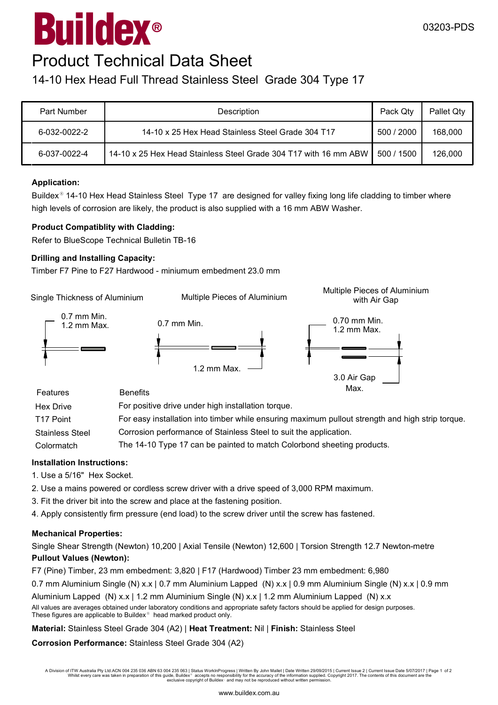# $^{\circledR}$ Buildex

### Product Technical Data Sheet

### 14-10 Hex Head Full Thread Stainless Steel Grade 304 Type 17

| <b>Part Number</b> | Description                                                      |            | Pallet Qtv |
|--------------------|------------------------------------------------------------------|------------|------------|
| 6-032-0022-2       | 14-10 x 25 Hex Head Stainless Steel Grade 304 T17                | 500 / 2000 | 168,000    |
| 6-037-0022-4       | 14-10 x 25 Hex Head Stainless Steel Grade 304 T17 with 16 mm ABW | 500 / 1500 | 126,000    |

#### **Application:**

Buildex<sup>®</sup> 14-10 Hex Head Stainless Steel Type 17 are designed for valley fixing long life cladding to timber where high levels of corrosion are likely, the product is also supplied with a 16 mm ABW Washer.

#### **Product Compatiblity with Cladding:**

Refer to BlueScope Technical Bulletin TB-16

#### **Drilling and Installing Capacity:**

Timber F7 Pine to F27 Hardwood - miniumum embedment 23.0 mm

Single Thickness of Aluminium

Multiple Pieces of Aluminium with Air Gap



| Features               | <b>Benefits</b>                                                                                  | iviax. |
|------------------------|--------------------------------------------------------------------------------------------------|--------|
| <b>Hex Drive</b>       | For positive drive under high installation torque.                                               |        |
| T17 Point              | For easy installation into timber while ensuring maximum pullout strength and high strip torque. |        |
| <b>Stainless Steel</b> | Corrosion performance of Stainless Steel to suit the application.                                |        |
| Colormatch             | The 14-10 Type 17 can be painted to match Colorbond sheeting products.                           |        |

#### **Installation Instructions:**

1. Use a 5/16" Hex Socket.

- 2. Use a mains powered or cordless screw driver with a drive speed of 3,000 RPM maximum.
- 3. Fit the driver bit into the screw and place at the fastening position.
- 4. Apply consistently firm pressure (end load) to the screw driver until the screw has fastened.

#### **Mechanical Properties:**

Single Shear Strength (Newton) 10,200 | Axial Tensile (Newton) 12,600 | Torsion Strength 12.7 Newton-metre **Pullout Values (Newton):**

F7 (Pine) Timber, 23 mm embedment: 3,820 | F17 (Hardwood) Timber 23 mm embedment: 6,980

0.7 mm Aluminium Single (N) x.x | 0.7 mm Aluminium Lapped (N) x.x | 0.9 mm Aluminium Single (N) x.x | 0.9 mm

Aluminium Lapped (N) x.x | 1.2 mm Aluminium Single (N) x.x | 1.2 mm Aluminium Lapped (N) x.x

All values are averages obtained under laboratory conditions and appropriate safety factors should be applied for design purposes. These figures are applicable to Buildex $^\circ$  head marked product only.

#### **Material:** Stainless Steel Grade 304 (A2) | **Heat Treatment:** Nil | **Finish:** Stainless Steel

**Corrosion Performance:** Stainless Steel Grade 304 (A2)

A Division of ITW Australia Pty Ltd.ACN 004 235 036 ABN 63 004 235 063 | Status WorkInProgress | Written By John Mallet | Date Written 29/09/2015 | Current Issue 2 | Current Issue Date 5/07/2017 | Page 1 of 2 Whilst every care was taken in preparation of this guide, Buildex® accepts no responsibility for the accuracy of the information supplied. Copyright 2017. The contents of this document are the<br>exclusive copyright of Build

Multiple Pieces of Aluminium